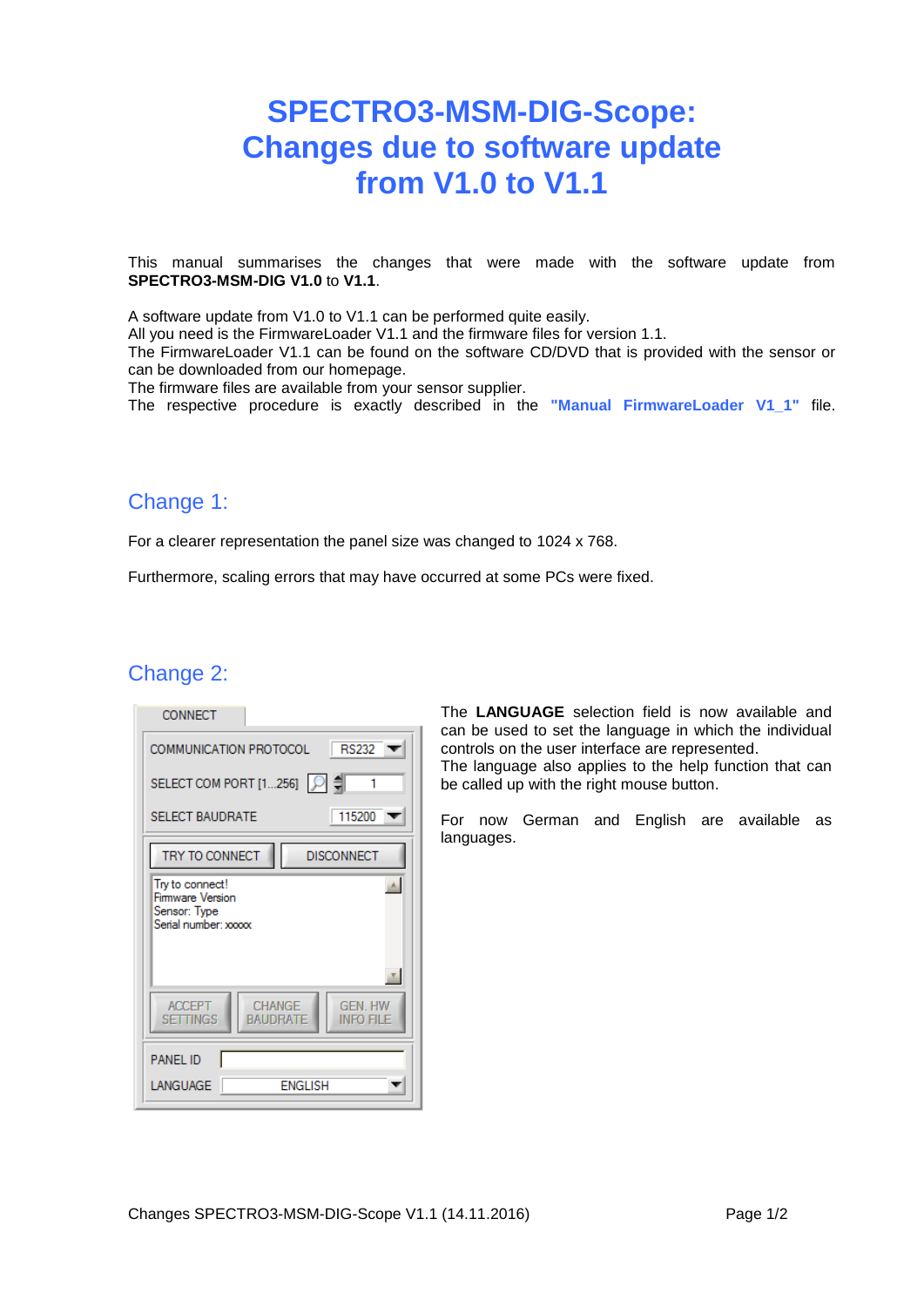# **SPECTRO3-MSM-DIG-Scope: Changes due to software update from V1.0 to V1.1**

This manual summarises the changes that were made with the software update from **SPECTRO3-MSM-DIG V1.0** to **V1.1**.

A software update from V1.0 to V1.1 can be performed quite easily.

All you need is the FirmwareLoader V1.1 and the firmware files for version 1.1.

The FirmwareLoader V1.1 can be found on the software CD/DVD that is provided with the sensor or can be downloaded from our homepage.

The firmware files are available from your sensor supplier.

The respective procedure is exactly described in the **"Manual FirmwareLoader V1\_1"** file.

### Change 1:

For a clearer representation the panel size was changed to 1024 x 768.

Furthermore, scaling errors that may have occurred at some PCs were fixed.

### Change 2:

| CONNECT                                                                              |
|--------------------------------------------------------------------------------------|
| <b>RS232</b><br>COMMUNICATION PROTOCOL                                               |
| SELECT COM PORT [1256]   이 쉬                                                         |
| 115200<br><b>SELECT BAUDRATE</b>                                                     |
| TRY TO CONNECT<br><b>DISCONNECT</b>                                                  |
| Try to connect!<br>Firmware Version<br>Sensor: Type<br>Serial number: xxxxx          |
|                                                                                      |
| CHANGE<br><b>ACCEPT</b><br><b>GEN HW</b><br><b>SETTINGS</b><br>BAUDRATE<br>info file |
| <b>PANEL ID</b>                                                                      |
| <b>ENGLISH</b><br>LANGUAGE                                                           |

The **LANGUAGE** selection field is now available and can be used to set the language in which the individual controls on the user interface are represented. The language also applies to the help function that can be called up with the right mouse button.

For now German and English are available as languages.